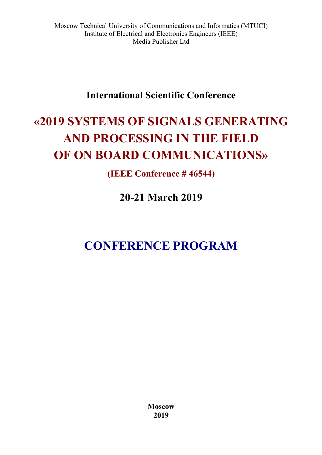## **International Scientific Conference**

# **«2019 SYSTEMS OF SIGNALS GENERATING AND PROCESSING IN THE FIELD OF ON BOARD COMMUNICATIONS»**

**(IEEE Conference # 46544)**

**20-21 March 2019** 

# **CONFERENCE PROGRAM**

**Moscow 2019**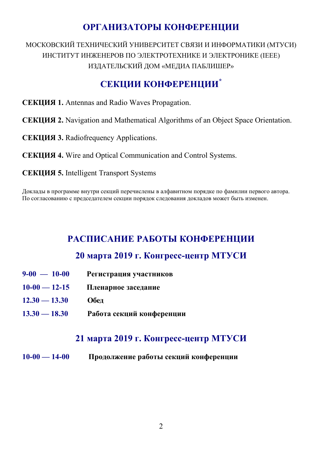## **ОРГАНИЗАТОРЫ КОНФЕРЕНЦИИ**

МОСКОВСКИЙ ТЕХНИЧЕСКИЙ УНИВЕРСИТЕТ СВЯЗИ И ИНФОРМАТИКИ (МТУСИ) ИНСТИТУТ ИНЖЕНЕРОВ ПО ЭЛЕКТРОТЕХНИКЕ И ЭЛЕКТРОНИКЕ (IEEE) ИЗДАТЕЛЬСКИЙ ДОМ «МЕДИА ПАБЛИШЕР»

## **СЕКЦИИ КОНФЕРЕНЦИИ\***

- **СЕКЦИЯ 1.** Antennas and Radio Waves Propagation.
- **СЕКЦИЯ 2.** Navigation and Mathematical Algorithms of an Object Space Orientation.
- **СЕКЦИЯ 3.** Radiofrequency Applications.
- **СЕКЦИЯ 4.** Wire and Optical Communication and Control Systems.
- **CЕКЦИЯ 5.** Intelligent Transport Systems

Доклады в программе внутри секций перечислены в алфавитном порядке по фамилии первого автора. По согласованию с председателем секции порядок следования докладов может быть изменен.

## **РАСПИСАНИЕ РАБОТЫ КОНФЕРЕНЦИИ**

## **20 марта 2019 г. Конгресс-центр МТУСИ**

- **9-00 10-00 Регистрация участников**
- **10-00 12-15 Пленарное заседание**
- **12.30 13.30 Обед**
- **13.30 18.30 Работа секций конференции**

## **21 марта 2019 г. Конгресс-центр МТУСИ**

**10-00 — 14-00 Продолжение работы секций конференции**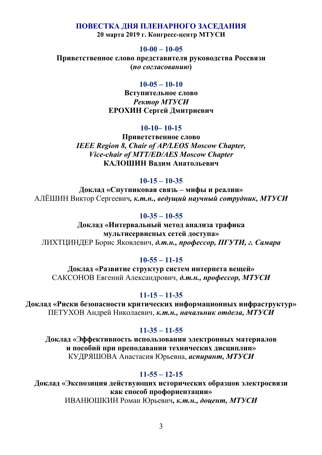#### **ПОВЕСТКА ДНЯ ПЛЕНАРНОГО ЗАСЕДАНИЯ**

**20 марта 2019 г. Конгресс-центр МТУСИ**

#### **10-00 – 10-05**

**Приветственное слово представителя руководства Россвязи (***по согласованию***)**

#### **10-05 – 10-10**

**Вступительное слово** *Ректор МТУСИ* **ЕРОХИН Сергей Дмитриевич**

#### **10-10– 10-15**

**Приветственное слово** *IEEE Region 8, Chair of AP/LEOS Moscow Chapter, Vice-chair of MTT/ED/AES Moscow Chapter*  **КАЛОШИН Вадим Анатольевич**

#### **10-15 – 10-35**

**Доклад «Спутниковая связь – мифы и реалии»**  АЛЁШИН Виктор Сергеевич*, к.т.н., ведущий научный сотрудник, МТУСИ*

#### **10-35 – 10-55**

**Доклад «Интервальный метод анализа трафика мультисервисных сетей доступа»**  ЛИХТЦИНДЕР Борис Яковлевич, *д.т.н., профессор, ПГУТИ, г. Самара*

#### **10-55 – 11-15**

**Доклад «Развитие структур систем интернета вещей»**  САКСОНОВ Евгений Александрович, *д.т.н., профессор, МТУСИ*

#### **11-15 – 11-35**

**Доклад «Риски безопасности критических информационных инфраструктур»**  ПЕТУХОВ Андрей Николаевич, *к.т.н., начальник отдела, МТУСИ*

#### **11-35 – 11-55**

**Доклад «Эффективность использования электронных материалов и пособий при преподавании технических дисциплин»**  КУДРЯШОВА Анастасия Юрьевна, *аспирант, МТУСИ*

#### **11-55 – 12-15**

**Доклад «Экспозиция действующих исторических образцов электросвязи как способ профориентации»** 

ИВАНЮШКИН Роман Юрьевич**,** *к.т.н., доцент, МТУСИ*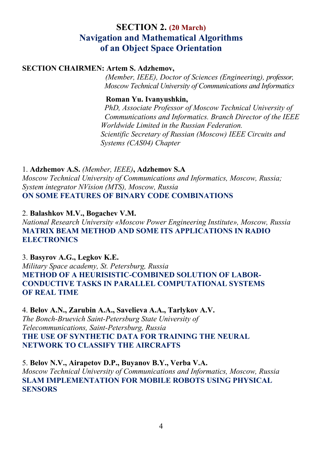## **SECTION 2. (20 March) Navigation and Mathematical Algorithms of an Object Space Orientation**

#### **SECTION CHAIRMEN: Artem S. Adzhemov,**

 *(Member, IEEE), Doctor of Sciences (Engineering), professor, Moscow Technical University of Communications and Informatics* 

#### **Roman Yu. Ivanyushkin,**

 *PhD, Associate Professor of Moscow Technical University of Сommunications and Informatics. Branch Director of the IEEE Worldwide Limited in the Russian Federation. Scientific Secretary of Russian (Moscow) IEEE Circuits and Systems (CAS04) Chapter* 

## 1. **Adzhemov A.S.** *(Member, IEEE)***, Adzhemov S.A**

*Moscow Technical University of Communications and Informatics, Moscow, Russia; System integrator NVision (MTS), Moscow, Russia*  **ON SOME FEATURES OF BINARY CODE COMBINATIONS** 

#### 2. **Balashkov M.V., Bogachev V.M.**

*National Research University «Moscow Power Engineering Institute», Moscow, Russia*  **MATRIX BEAM METHOD AND SOME ITS APPLICATIONS IN RADIO ELECTRONICS** 

#### 3. **Basyrov A.G., Legkov K.E.**

*Military Space academy, St. Petersburg, Russia*  **METHOD OF A HEURISISTIC-COMBINED SOLUTION OF LABOR-CONDUCTIVE TASKS IN PARALLEL COMPUTATIONAL SYSTEMS OF REAL TIME** 

#### 4. **Belov A.N., Zarubin A.А., Savelieva A.A., Tarlykov A.V.**

*The Bonch-Bruevich Saint-Petersburg State University of Telecommunications, Saint-Petersburg, Russia*  **THE USE OF SYNTHETIC DATA FOR TRAINING THE NEURAL NETWORK TO CLASSIFY THE AIRCRAFTS** 

#### 5. **Belov N.V., Airapetov D.P., Buyanov B.Y., Verba V.A.**

*Moscow Technical University of Communications and Informatics, Moscow, Russia*  **SLAM IMPLEMENTATION FOR MOBILE ROBOTS USING PHYSICAL SENSORS**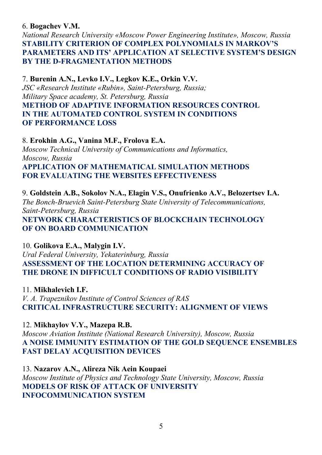#### 6. **Bogachev V.M.**

*National Research University «Moscow Power Engineering Institute», Moscow, Russia*  **STABILITY CRITERION OF COMPLEX POLYNOMIALS IN MARKOV'S PARAMETERS AND ITS' APPLICATION AT SELECTIVE SYSTEM'S DESIGN BY THE D-FRAGMENTATION METHODS** 

### 7. **Burenin A.N., Levko I.V., Legkov K.E., Orkin V.V.**

*JSC «Research Institute «Rubin», Saint-Petersburg, Russia; Military Space academy, St. Petersburg, Russia*  **METHOD OF ADAPTIVE INFORMATION RESOURCES CONTROL IN THE AUTOMATED CONTROL SYSTEM IN CONDITIONS OF PERFORMANCE LOSS** 

#### 8. **Erokhin A.G., Vanina M.F., Frolova E.A.**

*Moscow Technical University of Communications and Informatics, Moscow, Russia*  **APPLICATION OF MATHEMATICAL SIMULATION METHODS FOR EVALUATING THE WEBSITES EFFECTIVENESS** 

9. **Goldstein A.B., Sokolov N.A., Elagin V.S., Onufrienko A.V., Belozertsev I.A.**  *The Bonch-Bruevich Saint-Petersburg State University of Telecommunications, Saint-Petersburg, Russia*  **NETWORK CHARACTERISTICS OF BLOCKCHAIN TECHNOLOGY OF ON BOARD COMMUNICATION** 

#### 10. **Golikova E.A., Malygin I.V.**

*Ural Federal University, Yekaterinburg, Russia*  **ASSESSMENT OF THE LOCATION DETERMINING ACCURACY OF THE DRONE IN DIFFICULT CONDITIONS OF RADIO VISIBILITY**

#### 11. **Mikhalevich I.F.**

*V. A. Trapeznikov Institute of Control Sciences of RAS*  **CRITICAL INFRASTRUCTURE SECURITY: ALIGNMENT OF VIEWS** 

#### 12. **Mikhaylov V.Y., Mazepa R.B.**

*Moscow Aviation Institute (National Research University), Moscow, Russia*  **A NOISE IMMUNITY ESTIMATION OF THE GOLD SEQUENCE ENSEMBLES FAST DELAY ACQUISITION DEVICES** 

## 13. **Nazarov A.N., Alireza Nik Aein Koupaei**

*Moscow Institute of Physics and Technology State University, Moscow, Russia*  **MODELS OF RISK OF ATTACK OF UNIVERSITY INFOCOMMUNICATION SYSTEM**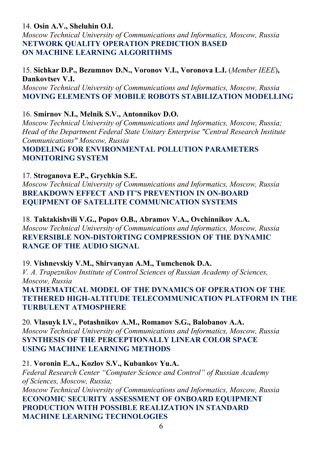### 14. **Osin A.V., Sheluhin O.I.**

*Moscow Technical University of Communications and Informatics, Moscow, Russia*  **NETWORK QUALITY OPERATION PREDICTION BASED ON MACHINE LEARNING ALGORITHMS** 

#### 15. **Sichkar D.P., Bezumnov D.N., Voronov V.I., Voronova L.I.** (*Member IEEE*)**, Dankovtsev V.I.**

*Moscow Technical University of Communications and Informatics, Moscow, Russia*  **MOVING ELEMENTS OF MOBILE ROBOTS STABILIZATION MODELLING** 

16. **Smirnov N.I., Melnik S.V., Antonnikov D.O.** 

*Moscow Technical University of Communications and Informatics, Moscow, Russia; Head of the Department Federal State Unitary Enterprise "Central Research Institute Communications" Moscow, Russia* 

**MODELING FOR ENVIRONMENTAL POLLUTION PARAMETERS MONITORING SYSTEM** 

### 17. **Stroganova E.P., Grychkin S.E.**

*Moscow Technical University of Communications and Informatics, Moscow, Russia*  **BREAKDOWN EFFECT AND IT'S PREVENTION IN ON-BOARD EQUIPMENT OF SATELLITE COMMUNICATION SYSTEMS** 

18. **Taktakishvili V.G., Popov O.B., Abramov V.A., Ovchinnikov A.A.**  *Moscow Technical University of Communications and Informatics, Moscow, Russia*  **REVERSIBLE NON-DISTORTING COMPRESSION OF THE DYNAMIC RANGE OF THE AUDIO SIGNAL** 

#### 19. **Vishnevskiy V.M., Shirvanyan A.M., Tumchenok D.A.**

*V. A. Trapeznikov Institute of Control Sciences of Russian Academy of Sciences, Moscow, Russia* 

**MATHEMATICAL MODEL OF THE DYNAMICS OF OPERATION OF THE TETHERED HIGH-ALTITUDE TELECOMMUNICATION PLATFORM IN THE TURBULENT ATMOSPHERE** 

20. **Vlasuyk I.V., Potashnikov A.M., Romanov S.G., Balobanov A.A.**  *Moscow Technical University of Communications and Informatics, Moscow, Russia*  **SYNTHESIS OF THE PERCEPTIONALLY LINEAR COLOR SPACE USING MACHINE LEARNING METHODS** 

#### 21. **Voronin E.A., Kozlov S.V., Kubankov Yu.A.**

*Federal Research Center "Computer Science and Control" of Russian Academy of Sciences, Moscow, Russia;* 

*Moscow Technical University of Communications and Informatics, Moscow, Russia*  **ECONOMIC SECURITY ASSESSMENT OF ONBOARD EQUIPMENT PRODUCTION WITH POSSIBLE REALIZATION IN STANDARD MACHINE LEARNING TECHNOLOGIES**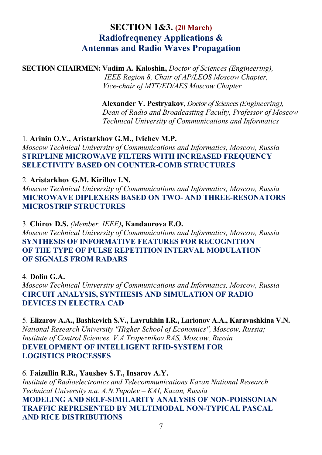## **SECTION 1&3. (20 March) Radiofrequency Applications & Antennas and Radio Waves Propagation**

**SECTION CHAIRMEN: Vadim A. Kaloshin,** *Doctor of Sciences (Engineering), IEEE Region 8, Chair of AP/LEOS Moscow Chapter, Vice-chair of MTT/ED/AES Moscow Chapter* 

> **Alexander V. Pestryakov,** *Doctor of Sciences (Engineering), Dean of Radio and Broadcasting Faculty, Professor of Moscow Technical University of Сommunications and Informatics*

#### 1. **Arinin O.V., Aristarkhov G.M., Ivichev M.P.**

*Moscow Technical University of Communications and Informatics, Moscow, Russia*  **STRIPLINE MICROWAVE FILTERS WITH INCREASED FREQUENCY SELECTIVITY BASED ON COUNTER-COMB STRUCTURES** 

#### 2. **Aristarkhov G.M. Kirillov I.N.**

*Moscow Technical University of Communications and Informatics, Moscow, Russia*  **MICROWAVE DIPLEXERS BASED ON TWO- AND THREE-RESONATORS MICROSTRIP STRUCTURES** 

3. **Chirov D.S.** *(Member, IEEE)***, Kandaurova E.O.**  *Moscow Technical University of Communications and Informatics, Moscow, Russia*  **SYNTHESIS OF INFORMATIVE FEATURES FOR RECOGNITION OF THE TYPE OF PULSE REPETITION INTERVAL MODULATION OF SIGNALS FROM RADARS** 

4. **Dolin G.A.**  *Moscow Technical University of Communications and Informatics, Moscow, Russia*  **CIRCUIT ANALYSIS, SYNTHESIS AND SIMULATION OF RADIO DEVICES IN ELECTRA CAD** 

5. **Elizarov A.A., Bashkevich S.V., Lavrukhin I.R., Larionov A.A., Karavashkina V.N.**  *National Research University "Higher School of Economics", Moscow, Russia; Institute of Control Sciences. V.А.Trapeznikov RAS, Moscow, Russia*  **DEVELOPMENT OF INTELLIGENT RFID-SYSTEM FOR LOGISTICS PROCESSES** 

#### 6. **Faizullin R.R., Yaushev S.T., Insarov A.Y.**

*Institute of Radioelectronics and Telecommunications Kazan National Research Technical University n.a. A.N.Tupolev – KAI, Kazan, Russia*  **MODELING AND SELF-SIMILARITY ANALYSIS OF NON-POISSONIAN TRAFFIC REPRESENTED BY MULTIMODAL NON-TYPICAL PASCAL AND RICE DISTRIBUTIONS**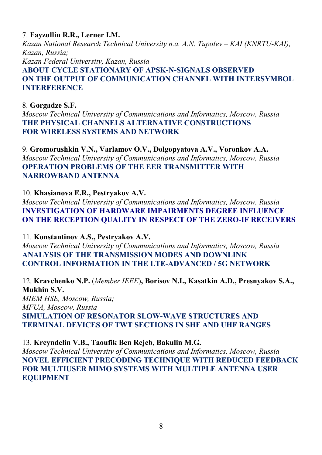### 7. **Fayzullin R.R., Lerner I.M.**

*Kazan National Research Technical University n.a. A.N. Tupolev – KAI (KNRTU-KAI), Kazan, Russia; Kazan Federal University, Kazan, Russia*  **ABOUT CYCLE STATIONARY OF APSK-N-SIGNALS OBSERVED ON THE OUTPUT OF COMMUNICATION CHANNEL WITH INTERSYMBOL INTERFERENCE** 

### 8. **Gorgadze S.F.**

*Moscow Technical University of Communications and Informatics, Moscow, Russia*  **THE PHYSICAL CHANNELS ALTERNATIVE CONSTRUCTIONS FOR WIRELESS SYSTEMS AND NETWORK** 

9. **Gromorushkin V.N., Varlamov O.V., Dolgopyatova A.V., Voronkov A.A.**  *Moscow Technical University of Communications and Informatics, Moscow, Russia*  **OPERATION PROBLEMS OF THE EER TRANSMITTER WITH NARROWBAND ANTENNA** 

10. **Khasianova E.R., Pestryakov A.V.** 

*Moscow Technical University of Communications and Informatics, Moscow, Russia* **INVESTIGATION OF HARDWARE IMPAIRMENTS DEGREE INFLUENCE ON THE RECEPTION QUALITY IN RESPECT OF THE ZERO-IF RECEIVERS** 

11. **Konstantinov A.S., Pestryakov A.V.** 

*Moscow Technical University of Communications and Informatics, Moscow, Russia*  **ANALYSIS OF THE TRANSMISSION MODES AND DOWNLINK CONTROL INFORMATION IN THE LTE-ADVANCED / 5G NETWORK** 

12. **Kravchenko N.P.** (*Member IEEE*)**, Borisov N.I., Kasatkin A.D., Presnyakov S.A., Mukhin S.V.** 

*MIEM HSE, Moscow, Russia; MFUA, Moscow, Russia*  **SIMULATION OF RESONATOR SLOW-WAVE STRUCTURES AND TERMINAL DEVICES OF TWT SECTIONS IN SHF AND UHF RANGES** 

### 13. **Kreyndelin V.B., Taoufik Ben Rejeb, Bakulin M.G.**

*Moscow Technical University of Communications and Informatics, Moscow, Russia*  **NOVEL EFFICIENT PRECODING TECHNIQUE WITH REDUCED FEEDBACK FOR MULTIUSER MIMO SYSTEMS WITH MULTIPLE ANTENNA USER EQUIPMENT**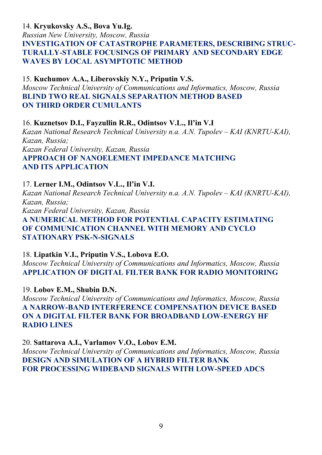### 14. **Kryukovsky A.S., Bova Yu.Ig.**

*Russian New University, Moscow, Russia*  **INVESTIGATION OF CATASTROPHE PARAMETERS, DESCRIBING STRUC-TURALLY-STABLE FOCUSINGS OF PRIMARY AND SECONDARY EDGE WAVES BY LOCAL ASYMPTOTIC METHOD** 

### 15. **Kuchumov A.A., Liberovskiy N.Y., Priputin V.S.**

*Moscow Technical University of Communications and Informatics, Moscow, Russia*  **BLIND TWO REAL SIGNALS SEPARATION METHOD BASED ON THIRD ORDER CUMULANTS** 

16. **Kuznetsov D.I., Fayzullin R.R., Odintsov V.L., Il'in V.I**  *Kazan National Research Technical University n.a. A.N. Tupolev – KAI (KNRTU-KAI), Kazan, Russia; Kazan Federal University, Kazan, Russia*  **APPROACH OF NANOELEMENT IMPEDANCE MATCHING AND ITS APPLICATION** 

#### 17. **Lerner I.M., Odintsov V.L., Il'in V.I.**

*Kazan National Research Technical University n.a. A.N. Tupolev – KAI (KNRTU-KAI), Kazan, Russia; Kazan Federal University, Kazan, Russia*  **A NUMERICAL METHOD FOR POTENTIAL CAPACITY ESTIMATING OF COMMUNICATION CHANNEL WITH MEMORY AND CYCLO STATIONARY PSK-N-SIGNALS** 

18. **Lipatkin V.I., Priputin V.S., Lobova E.O.** 

*Moscow Technical University of Communications and Informatics, Moscow, Russia*  **APPLICATION OF DIGITAL FILTER BANK FOR RADIO MONITORING** 

19. **Lobov E.M., Shubin D.N.**  *Moscow Technical University of Communications and Informatics, Moscow, Russia*  **A NARROW-BAND INTERFERENCE COMPENSATION DEVICE BASED ON A DIGITAL FILTER BANK FOR BROADBAND LOW-ENERGY HF RADIO LINES** 

20. **Sattarova A.I., Varlamov V.O., Lobov E.M.**  *Moscow Technical University of Communications and Informatics, Moscow, Russia*  **DESIGN AND SIMULATION OF A HYBRID FILTER BANK** 

#### **FOR PROCESSING WIDEBAND SIGNALS WITH LOW-SPEED ADCS**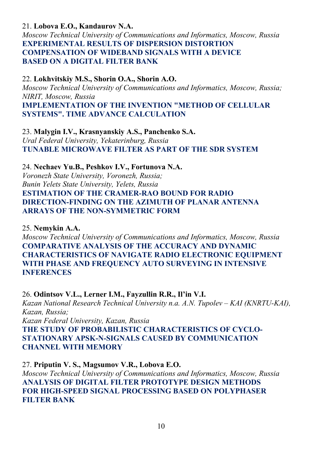### 21. **Lobova E.O., Kandaurov N.A.**

*Moscow Technical University of Communications and Informatics, Moscow, Russia*  **EXPERIMENTAL RESULTS OF DISPERSION DISTORTION COMPENSATION OF WIDEBAND SIGNALS WITH A DEVICE BASED ON A DIGITAL FILTER BANK** 

#### 22. **Lokhvitskiy M.S., Shorin О.А., Shorin А.O.**

*Moscow Technical University of Communications and Informatics, Moscow, Russia; NIRIT, Moscow, Russia*  **IMPLEMENTATION OF THE INVENTION "METHOD OF CELLULAR SYSTEMS". TIME ADVANCE CALCULATION** 

23. **Malygin I.V., Krasnyanskiy A.S., Panchenko S.A.**  *Ural Federal University, Yekaterinburg, Russia*  **TUNABLE MICROWAVE FILTER AS PART OF THE SDR SYSTEM** 

#### 24. **Nechaev Yu.B., Peshkov I.V., Fortunova N.A.**

*Voronezh State University, Voronezh, Russia; Bunin Yelets State University, Yelets, Russia*  **ESTIMATION OF THE CRAMER-RAO BOUND FOR RADIO DIRECTION-FINDING ON THE AZIMUTH OF PLANAR ANTENNA ARRAYS OF THE NON-SYMMETRIC FORM** 

#### 25. **Nemykin A.A.**

*Moscow Technical University of Communications and Informatics, Moscow, Russia*  **COMPARATIVE ANALYSIS OF THE ACCURACY AND DYNAMIC CHARACTERISTICS OF NAVIGATE RADIO ELECTRONIC EQUIPMENT WITH PHASE AND FREQUENCY AUTO SURVEYING IN INTENSIVE INFERENCES** 

#### 26. **Odintsov V.L., Lerner I.M., Fayzullin R.R., Il'in V.I.**

*Kazan National Research Technical University n.a. A.N. Tupolev – KAI (KNRTU-KAI), Kazan, Russia;* 

*Kazan Federal University, Kazan, Russia* 

**THE STUDY OF PROBABILISTIC CHARACTERISTICS OF CYCLO-STATIONARY APSK-N-SIGNALS CAUSED BY COMMUNICATION CHANNEL WITH MEMORY** 

#### 27. **Priputin V. S., Magsumov V.R., Lobova E.O.**

*Moscow Technical University of Communications and Informatics, Moscow, Russia*  **ANALYSIS OF DIGITAL FILTER PROTOTYPE DESIGN METHODS FOR HIGH-SPEED SIGNAL PROCESSING BASED ON POLYPHASER FILTER BANK**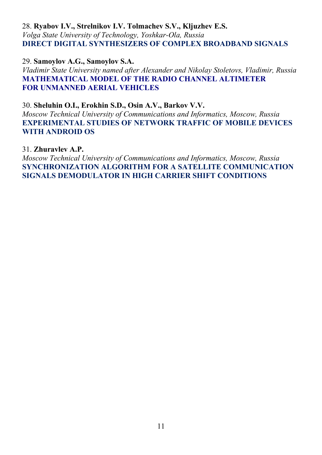#### 28. **Ryabov I.V., Strelnikov I.V. Tolmachev S.V., Kljuzhev E.S.**  *Volga State University of Technology, Yoshkar-Ola, Russia*  **DIRECT DIGITAL SYNTHESIZERS OF COMPLEX BROADBAND SIGNALS**

29. **Samoylov А.G., Samoylov S.A.**  *Vladimir State University named after Alexander and Nikolay Stoletovs, Vladimir, Russia*  **MATHEMATICAL MODEL OF THE RADIO CHANNEL ALTIMETER FOR UNMANNED AERIAL VEHICLES** 

30. **Sheluhin O.I., Erokhin S.D., Osin A.V., Barkov V.V.** 

*Moscow Technical University of Communications and Informatics, Moscow, Russia*  **EXPERIMENTAL STUDIES OF NETWORK TRAFFIC OF MOBILE DEVICES WITH ANDROID OS** 

#### 31. **Zhuravlev A.P.**

*Moscow Technical University of Communications and Informatics, Moscow, Russia*  **SYNCHRONIZATION ALGORITHM FOR A SATELLITE COMMUNICATION SIGNALS DEMODULATOR IN HIGH CARRIER SHIFT CONDITIONS**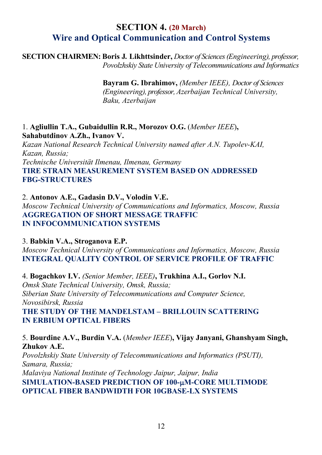## **SECTION 4. (20 March) Wire and Optical Communication and Control Systems**

**SECTION CHAIRMEN: Boris J***.* **Likhttsinder,** *Doctor of Sciences (Engineering), professor, Povolzhskiy State University of Telecommunications and Informatics* 

> **Bayram G. Ibrahimov,** *(Member IEEE), Doctor of Sciences*  *(Engineering), professor, Azerbaijan Technical University, Baku, Azerbaijan*

1. **Agliullin T.A., Gubaidullin R.R., Morozov O.G.** (*Member IEEE*)**, Sahabutdinov A.Zh., Ivanov V.** 

*Kazan National Research Technical University named after A.N. Tupolev-KAI, Kazan, Russia;* 

*Technische Universität Ilmenau, Ilmenau, Germany* 

**TIRE STRAIN MEASUREMENT SYSTEM BASED ON ADDRESSED FBG-STRUCTURES** 

2. **Antonov A.E., Gadasin D.V., Volodin V.E.**  *Moscow Technical University of Communications and Informatics, Moscow, Russia*  **AGGREGATION OF SHORT MESSAGE TRAFFIC IN INFOCOMMUNICATION SYSTEMS** 

#### 3. **Babkin V.A., Stroganova E.P.**

*Moscow Technical University of Communications and Informatics, Moscow, Russia*  **INTEGRAL QUALITY CONTROL OF SERVICE PROFILE OF TRAFFIC** 

4. **Bogachkov I.V.** *(Senior Member, IEEE)***, Trukhina A.I., Gorlov N.I.**  *Omsk State Technical University, Omsk, Russia; Siberian State University of Telecommunications and Computer Science, Novosibirsk, Russia*  **THE STUDY OF THE MANDELSTAM – BRILLOUIN SCATTERING IN ERBIUM OPTICAL FIBERS** 

5. **Bourdine A.V., Burdin V.A.** (*Member IEEE*)**, Vijay Janyani, Ghanshyam Singh, Zhukov A.E.**  *Povolzhskiy State University of Telecommunications and Informatics (PSUTI), Samara, Russia; Malaviya National Institute of Technology Jaipur, Jaipur, India*  **SIMULATION-BASED PREDICTION OF 100-**µ**M-CORE MULTIMODE OPTICAL FIBER BANDWIDTH FOR 10GBASE-LX SYSTEMS**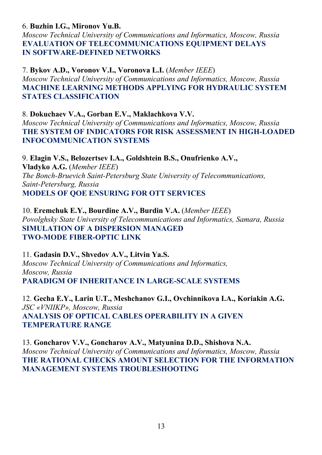#### 6. **Buzhin I.G., Mironov Yu.B.**

*Moscow Technical University of Communications and Informatics, Moscow, Russia*  **EVALUATION OF TELECOMMUNICATIONS EQUIPMENT DELAYS IN SOFTWARE-DEFINED NETWORKS** 

7. **Bykov A.D., Voronov V.I., Voronova L.I.** (*Member IEEE*) *Moscow Technical University of Communications and Informatics, Moscow, Russia*  **MACHINE LEARNING METHODS APPLYING FOR HYDRAULIC SYSTEM STATES CLASSIFICATION** 

#### 8. **Dokuchaev V.A., Gorban E.V., Maklachkova V.V.**

*Moscow Technical University of Communications and Informatics, Moscow, Russia*  **THE SYSTEM OF INDICATORS FOR RISK ASSESSMENT IN HIGH-LOADED INFOCOMMUNICATION SYSTEMS** 

9. **Elagin V.S., Belozertsev I.A., Goldshtein B.S., Onufrienko A.V., Vladyko A.G.** (*Member IEEE*) *The Bonch-Bruevich Saint-Petersburg State University of Telecommunications, Saint-Petersburg, Russia*  **MODELS OF QOE ENSURING FOR OTT SERVICES** 

10. **Eremchuk E.Y., Bourdine A.V., Burdin V.A.** (*Member IEEE*) *Povolghsky State University of Telecommunications and Informatics, Samara, Russia*  **SIMULATION OF A DISPERSION MANAGED TWO-MODE FIBER-OPTIC LINK** 

11. **Gadasin D.V., Shvedov A.V., Litvin Ya.S.**  *Moscow Technical University of Communications and Informatics, Moscow, Russia*  **PARADIGM OF INHERITANCE IN LARGE-SCALE SYSTEMS** 

12. **Gecha E.Y., Larin U.T., Meshchanov G.I., Ovchinnikova I.A., Koriakin A.G.**  *JSC «VNIIKP», Moscow, Russia*  **ANALYSIS OF OPTICAL CABLES OPERABILITY IN A GIVEN TEMPERATURE RANGE** 

13. **Goncharov V.V., Goncharov A.V., Matyunina D.D., Shishova N.A.**  *Moscow Technical University of Communications and Informatics, Moscow, Russia*  **THE RATIONAL CHECKS AMOUNT SELECTION FOR THE INFORMATION MANAGEMENT SYSTEMS TROUBLESHOOTING**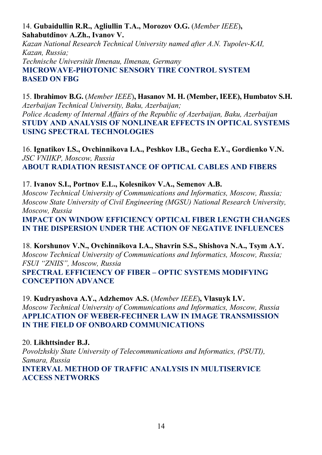### 14. **Gubaidullin R.R., Agliullin T.A., Morozov O.G.** (*Member IEEE*)**, Sahabutdinov A.Zh., Ivanov V.**

*Kazan National Research Technical University named after A.N. Tupolev-KAI, Kazan, Russia; Technische Universität Ilmenau, Ilmenau, Germany*  **MICROWAVE-PHOTONIC SENSORY TIRE CONTROL SYSTEM BASED ON FBG** 

15. **Ibrahimov B.G.** (*Member IEEE*)**, Hasanov M. H. (Member, IEEE), Humbatov S.H.**  *Azerbaijan Technical University, Baku, Azerbaijan; Police Academy of Internal Affairs of the Republic of Azerbaijan, Baku, Azerbaijan*  **STUDY AND ANALYSIS OF NONLINEAR EFFECTS IN OPTICAL SYSTEMS USING SPECTRAL TECHNOLOGIES** 

16. **Ignatikov I.S., Ovchinnikova I.A., Peshkov I.B., Gecha E.Y., Gordienko V.N.**  *JSC VNIIKP, Moscow, Russia*  **ABOUT RADIATION RESISTANCE OF OPTICAL CABLES AND FIBERS** 

17. **Ivanov S.I., Portnov E.L., Kolesnikov V.A., Semenov A.B.** 

*Moscow Technical University of Communications and Informatics, Moscow, Russia; Moscow State University of Civil Engineering (MGSU) National Research University, Moscow, Russia* 

**IMPACT ON WINDOW EFFICIENCY OPTICAL FIBER LENGTH CHANGES IN THE DISPERSION UNDER THE ACTION OF NEGATIVE INFLUENCES** 

18. **Korshunov V.N., Ovchinnikova I.A., Shavrin S.S., Shishova N.A., Tsym A.Y.**  *Moscow Technical University of Communications and Informatics, Moscow, Russia; FSUI "ZNIIS", Moscow, Russia* 

**SPECTRAL EFFICIENCY OF FIBER – OPTIC SYSTEMS MODIFYING CONCEPTION ADVANCE** 

19. **Kudryashova A.Y., Adzhemov A.S.** (*Member IEEE*)**, Vlasuyk I.V.**  *Moscow Technical University of Communications and Informatics, Moscow, Russia*  **APPLICATION OF WEBER-FECHNER LAW IN IMAGE TRANSMISSION IN THE FIELD OF ONBOARD COMMUNICATIONS** 

20. **Likhttsinder B.J.**  *Povolzhskiy State University of Telecommunications and Informatics, (PSUTI), Samara, Russia*  **INTERVAL METHOD OF TRAFFIC ANALYSIS IN MULTISERVICE ACCESS NETWORKS**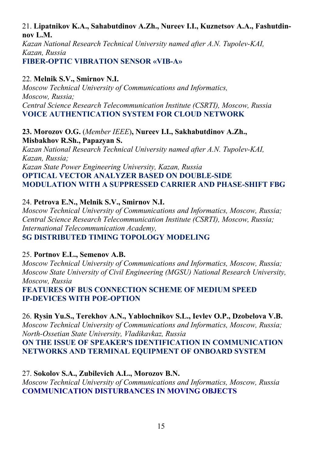### 21. **Lipatnikov K.A., Sahabutdinov A.Zh., Nureev I.I., Kuznetsov A.A., Fashutdinnov L.M.**

*Kazan National Research Technical University named after A.N. Tupolev-KAI, Kazan, Russia*  **FIBER-ОPTIC VIBRATION SENSOR «VIB-A»** 

### 22. **Melnik S.V., Smirnov N.I.**

*Moscow Technical University of Communications and Informatics, Moscow, Russia; Central Science Research Telecommunication Institute (CSRTI), Moscow, Russia*  **VOICE AUTHENTICATION SYSTEM FOR CLOUD NETWORK** 

#### **23. Morozov O.G.** (*Member IEEE*)**, Nureev I.I., Sakhabutdinov A.Zh., Misbakhov R.Sh., Papazyan S.**

*Kazan National Research Technical University named after A.N. Tupolev-KAI, Kazan, Russia;* 

*Kazan State Power Engineering University, Kazan, Russia*  **OPTICAL VECTOR ANALYZER BASED ON DOUBLE-SIDE MODULATION WITH A SUPPRESSED CARRIER AND PHASE-SHIFT FBG** 

24. **Petrova E.N., Melnik S.V., Smirnov N.I.** 

*Moscow Technical University of Communications and Informatics, Moscow, Russia; Central Science Research Telecommunication Institute (CSRTI), Moscow, Russia; International Telecommunication Academy,*  **5G DISTRIBUTED TIMING TOPOLOGY MODELING** 

#### 25. **Portnov E.L., Semenov A.B.**

*Moscow Technical University of Communications and Informatics, Moscow, Russia; Moscow State University of Civil Engineering (MGSU) National Research University, Moscow, Russia* 

**FEATURES OF BUS CONNECTION SCHEME OF MEDIUM SPEED IP-DEVICES WITH POE-OPTION** 

26. **Rysin Yu.S., Terekhov A.N., Yablochnikov S.L., Ievlev O.P., Dzobelova V.B.**  *Moscow Technical University of Communications and Informatics, Moscow, Russia; North-Ossetian State University, Vladikavkaz, Russia* 

**ON THE ISSUE OF SPEAKER'S IDENTIFICATION IN COMMUNICATION NETWORKS AND TERMINAL EQUIPMENT OF ONBOARD SYSTEM** 

27. **Sokolov S.A., Zubilevich A.L., Morozov B.N.**  *Moscow Technical University of Communications and Informatics, Moscow, Russia*  **COMMUNICATION DISTURBANCES IN MOVING OBJECTS**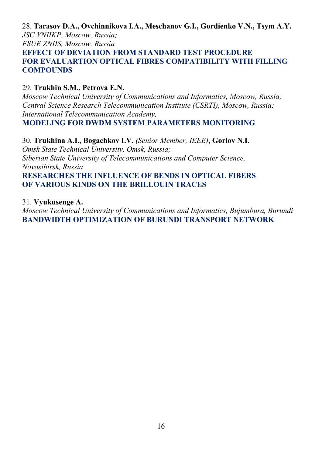28. **Tarasov D.A., Ovchinnikova I.A., Meschanov G.I., Gordienko V.N., Tsym A.Y.**  *JSC VNIIKP, Moscow, Russia; FSUE ZNIIS, Moscow, Russia*  **EFFECT OF DEVIATION FROM STANDARD TEST PROCEDURE FOR EVALUARTION OPTICAL FIBRES COMPATIBILITY WITH FILLING COMPOUNDS** 

#### 29. **Trukhin S.M., Petrova E.N.**

*Moscow Technical University of Communications and Informatics, Moscow, Russia; Central Science Research Telecommunication Institute (CSRTI), Moscow, Russia; International Telecommunication Academy,*  **MODELING FOR DWDM SYSTEM PARAMETERS MONITORING** 

30. **Trukhina A.I., Bogachkov I.V.** *(Senior Member, IEEE)***, Gorlov N.I.**  *Omsk State Technical University, Omsk, Russia; Siberian State University of Telecommunications and Computer Science, Novosibirsk, Russia*  **RESEARCHES THE INFLUENCE OF BENDS IN OPTICAL FIBERS OF VARIOUS KINDS ON THE BRILLOUIN TRACES** 

#### 31. **Vyukusenge A.**

*Moscow Technical University of Communications and Informatics, Bujumbura, Burundi*  **BANDWIDTH OPTIMIZATION OF BURUNDI TRANSPORT NETWORK**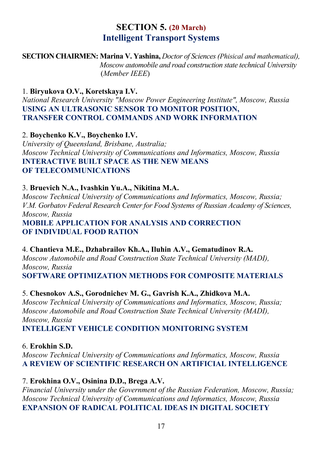## **SECTION 5. (20 March) Intelligent Transport Systems**

**SECTION CHAIRMEN: Marina V. Yashina,** *Doctor of Sciences (Phisical and mathematical), Moscow automobile and road construction state technical University*  (*Member IEEE*)

1. **Biryukova O.V., Koretskaya I.V.** 

*National Research University "Moscow Power Engineering Institute", Moscow, Russia*  **USING AN ULTRASONIC SENSOR TO MONITOR POSITION, TRANSFER CONTROL COMMANDS AND WORK INFORMATION** 

2. **Boychenko K.V., Boychenko I.V.** 

*University of Queensland, Brisbane, Australia; Moscow Technical University of Communications and Informatics, Moscow, Russia*  **INTERACTIVE BUILT SPACE AS THE NEW MEANS OF TELECOMMUNICATIONS** 

#### 3. **Bruevich N.A., Ivashkin Yu.A., Nikitina M.A.**

*Moscow Technical University of Communications and Informatics, Moscow, Russia; V.M. Gorbatov Federal Research Center for Food Systems of Russian Academy of Sciences, Moscow, Russia*  **MOBILE APPLICATION FOR ANALYSIS AND CORRECTION** 

**OF INDIVIDUAL FOOD RATION** 

4. **Chantieva M.E., Dzhabrailov Kh.A., Iluhin A.V., Gematudinov R.A.** 

*Moscow Automobile and Road Construction State Technical University (MADI), Moscow, Russia* 

**SOFTWARE OPTIMIZATION METHODS FOR COMPOSITE MATERIALS** 

#### 5. **Chesnokov A.S., Gorodnichev M. G., Gavrish K.A., Zhidkova M.A.**

*Moscow Technical University of Communications and Informatics, Moscow, Russia; Moscow Automobile and Road Construction State Technical University (MADI), Moscow, Russia* 

**INTELLIGENT VEHICLE CONDITION MONITORING SYSTEM** 

6. **Erokhin S.D.** 

*Moscow Technical University of Communications and Informatics, Moscow, Russia*  **A REVIEW OF SCIENTIFIC RESEARCH ON ARTIFICIAL INTELLIGENCE** 

#### 7. **Erokhina O.V., Osinina D.D., Brega A.V.**

*Financial University under the Government of the Russian Federation, Moscow, Russia; Moscow Technical University of Communications and Informatics, Moscow, Russia*  **EXPANSION OF RADICAL POLITICAL IDEAS IN DIGITAL SOCIETY**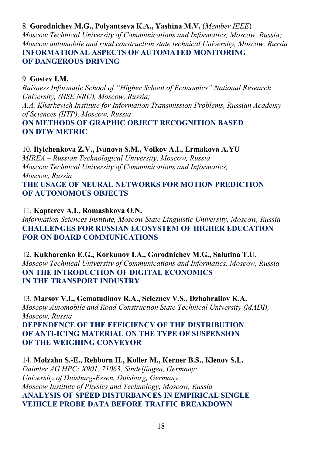### 8. **Gorodnichev M.G., Polyantseva K.A., Yashina M.V.** (*Member IEEE*)

*Moscow Technical University of Communications and Informatics, Moscow, Russia; Moscow automobile and road construction state technical University, Moscow, Russia*  **INFORMATIONAL ASPECTS OF AUTOMATED MONITORING OF DANGEROUS DRIVING** 

### 9. **Gostev I.M.**

*Buisness Informatic School of "Higher School of Economics" National Research University, (HSE NRU), Moscow, Russia;* 

*A.A. Kharkevich Institute for Information Transmission Problems, Russian Academy of Sciences (IITP), Moscow, Russia* 

#### **ON METHODS OF GRAPHIC OBJECT RECOGNITION BASED ON DTW METRIC**

### 10. **Ilyichenkova Z.V., Ivanova S.M., Volkov A.I., Ermakova A.YU**

*MIREA – Russian Technological University, Moscow, Russia Moscow Technical University of Communications and Informatics, Moscow, Russia*  **THE USAGE OF NEURAL NETWORKS FOR MOTION PREDICTION OF AUTONOMOUS OBJECTS** 

11. **Kapterev A.I., Romashkova O.N.** 

*Information Sciences Institute, Moscow State Linguistic University, Moscow, Russia*  **CHALLENGES FOR RUSSIAN ECOSYSTEM OF HIGHER EDUCATION FOR ON BOARD COMMUNICATIONS** 

12. **Kukharenko E.G., Korkunov I.A., Gorodnichev M.G., Salutina T.U.**  *Moscow Technical University of Communications and Informatics, Moscow, Russia*  **ON THE INTRODUCTION OF DIGITAL ECONOMICS IN THE TRANSPORT INDUSTRY** 

13. **Marsov V.I., Gematudinov R.A., Seleznev V.S., Dzhabrailov K.A.**  *Moscow Automobile and Road Construction State Technical University (MADI), Moscow, Russia*  **DEPENDENCE OF THE EFFICIENCY OF THE DISTRIBUTION OF ANTI-ICING MATERIAL ON THE TYPE OF SUSPENSION OF THE WEIGHING CONVEYOR** 

14. **Molzahn S.-E., Rehborn H., Koller M., Kerner B.S., Klenov S.L.**  *Daimler AG HPC: X901, 71063, Sindelfingen, Germany; University of Duisburg-Essen, Duisburg, Germany; Moscow Institute of Physics and Technology, Moscow, Russia*  **ANALYSIS OF SPEED DISTURBANCES IN EMPIRICAL SINGLE VEHICLE PROBE DATA BEFORE TRAFFIC BREAKDOWN**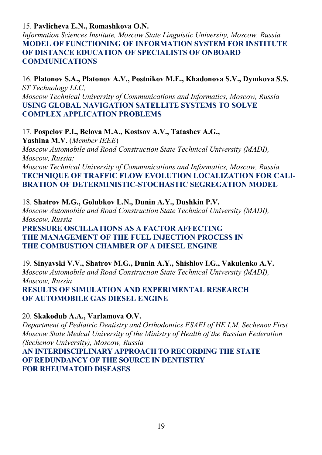#### 15. **Pavlicheva E.N., Romashkova O.N.**

*Information Sciences Institute, Moscow State Linguistic University, Moscow, Russia*  **MODEL OF FUNCTIONING OF INFORMATION SYSTEM FOR INSTITUTE OF DISTANCE EDUCATION OF SPECIALISTS OF ONBOARD COMMUNICATIONS** 

16. **Platonov S.A., Platonov A.V., Postnikov M.E., Khadonova S.V., Dymkova S.S.**  *ST Technology LLC; Moscow Technical University of Communications and Informatics, Moscow, Russia*  **USING GLOBAL NAVIGATION SATELLITE SYSTEMS TO SOLVE COMPLEX APPLICATION PROBLEMS** 

#### 17. **Pospelov P.I., Belova M.A., Kostsov A.V., Tatashev A.G.,**

**Yashina M.V.** (*Member IEEE*) *Moscow Automobile and Road Construction State Technical University (MADI),* 

*Moscow, Russia; Moscow Technical University of Communications and Informatics, Moscow, Russia* 

**TECHNIQUE OF TRAFFIC FLOW EVOLUTION LOCALIZATION FOR CALI-BRATION OF DETERMINISTIC-STOCHASTIC SEGREGATION MODEL** 

18. **Shatrov M.G., Golubkov L.N., Dunin A.Y., Dushkin P.V.**  *Moscow Automobile and Road Construction State Technical University (MADI), Moscow, Russia*  **PRESSURE OSCILLATIONS AS A FACTOR AFFECTING THE MANAGEMENT OF THE FUEL INJECTION PROCESS IN THE COMBUSTION CHAMBER OF A DIESEL ENGINE** 

19. **Sinyavski V.V., Shatrov M.G., Dunin A.Y., Shishlov I.G., Vakulenko A.V.**  *Moscow Automobile and Road Construction State Technical University (MADI), Moscow, Russia*  **RESULTS OF SIMULATION AND EXPERIMENTAL RESEARCH OF AUTOMOBILE GAS DIESEL ENGINE** 

#### 20. **Skakodub A.A., Varlamova O.V.**

*Department of Pediatric Dentistry and Orthodontics FSAEI of HE I.M. Sechenov First Moscow State Medcal University of the Ministry of Health of the Russian Federation (Sechenov University), Moscow, Russia* 

**AN INTERDISCIPLINARY APPROACH TO RECORDING THE STATE OF REDUNDANCY OF THE SOURCE IN DENTISTRY FOR RHEUMATOID DISEASES**